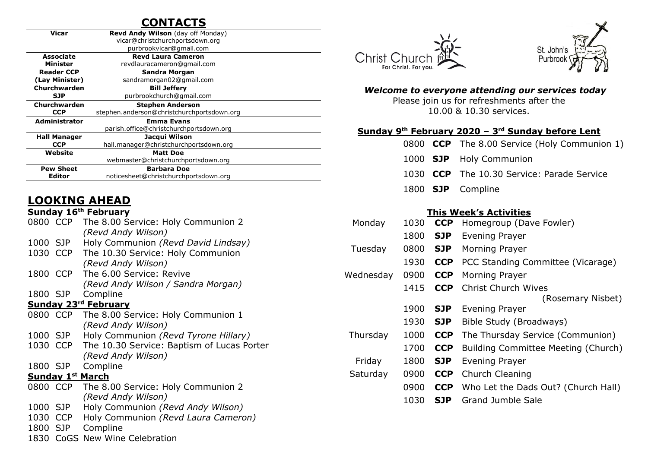# **CONTACTS**

| Vicar                | <b>Revd Andy Wilson</b> (day off Monday)   |  |  |  |  |
|----------------------|--------------------------------------------|--|--|--|--|
|                      | vicar@christchurchportsdown.org            |  |  |  |  |
|                      | purbrookvicar@gmail.com                    |  |  |  |  |
| <b>Associate</b>     | <b>Revd Laura Cameron</b>                  |  |  |  |  |
| Minister             | revdlauracameron@gmail.com                 |  |  |  |  |
| <b>Reader CCP</b>    | Sandra Morgan                              |  |  |  |  |
| (Lay Minister)       | sandramorgan02@gmail.com                   |  |  |  |  |
| Churchwarden         | <b>Bill Jeffery</b>                        |  |  |  |  |
| SJP                  | purbrookchurch@gmail.com                   |  |  |  |  |
| Churchwarden         | <b>Stephen Anderson</b>                    |  |  |  |  |
| <b>CCP</b>           | stephen.anderson@christchurchportsdown.org |  |  |  |  |
| <b>Administrator</b> | <b>Emma Evans</b>                          |  |  |  |  |
|                      | parish.office@christchurchportsdown.org    |  |  |  |  |
| <b>Hall Manager</b>  | Jacqui Wilson                              |  |  |  |  |
| <b>CCP</b>           | hall.manager@christchurchportsdown.org     |  |  |  |  |
| Website              | <b>Matt Doe</b>                            |  |  |  |  |
|                      | webmaster@christchurchportsdown.org        |  |  |  |  |
| <b>Pew Sheet</b>     | <b>Barbara Doe</b>                         |  |  |  |  |
| Editor               | noticesheet@christchurchportsdown.org      |  |  |  |  |
|                      |                                            |  |  |  |  |

# **LOOKING AHEAD**

#### **Sunday 16th February**

| 0800 CCP                    |            | The 8.00 Service: Holy Communion 2         |  |  |  |  |  |
|-----------------------------|------------|--------------------------------------------|--|--|--|--|--|
|                             |            | (Revd Andy Wilson)                         |  |  |  |  |  |
| 1000 SJP                    |            | Holy Communion (Revd David Lindsay)        |  |  |  |  |  |
|                             | 1030 CCP   | The 10.30 Service: Holy Communion          |  |  |  |  |  |
|                             |            | (Revd Andy Wilson)                         |  |  |  |  |  |
|                             | 1800 CCP   | The 6.00 Service: Revive                   |  |  |  |  |  |
|                             |            | (Revd Andy Wilson / Sandra Morgan)         |  |  |  |  |  |
| 1800 SJP                    |            | Compline                                   |  |  |  |  |  |
| <b>Sunday 23rd February</b> |            |                                            |  |  |  |  |  |
|                             | 0800 CCP   | The 8.00 Service: Holy Communion 1         |  |  |  |  |  |
|                             |            | (Revd Andy Wilson)                         |  |  |  |  |  |
| 1000 SJP                    |            | Holy Communion (Revd Tyrone Hillary)       |  |  |  |  |  |
|                             | 1030 CCP   | The 10.30 Service: Baptism of Lucas Porter |  |  |  |  |  |
|                             |            | (Revd Andy Wilson)                         |  |  |  |  |  |
| 1800 SJP                    |            | Compline                                   |  |  |  |  |  |
| <b>Sunday 1st March</b>     |            |                                            |  |  |  |  |  |
|                             | 0800 CCP   | The 8.00 Service: Holy Communion 2         |  |  |  |  |  |
|                             |            | (Revd Andy Wilson)                         |  |  |  |  |  |
| 1000 SJP                    |            | Holy Communion (Revd Andy Wilson)          |  |  |  |  |  |
| 1030 CCP                    |            | Holy Communion (Revd Laura Cameron)        |  |  |  |  |  |
| 1800                        | <b>SJP</b> | Compline                                   |  |  |  |  |  |
| 1830                        | CoGS       | New Wine Celebration                       |  |  |  |  |  |





#### *Welcome to everyone attending our services today*

Please join us for refreshments after the 10.00 & 10.30 services.

#### **Sunday 9 th February 2020 – 3 rd Sunday before Lent**

|  | 0800 CCP The 8.00 Service (Holy Communion 1) |
|--|----------------------------------------------|
|  | 1000 <b>SJP</b> Holy Communion               |

- 1030 **CCP** The 10.30 Service: Parade Service
- 1800 **SJP** Compline

#### **This Week's Activities**

| Monday    | 1030 | <b>CCP</b> | Homegroup (Dave Fowler)             |
|-----------|------|------------|-------------------------------------|
|           | 1800 | <b>SJP</b> | Evening Prayer                      |
| Tuesday   | 0800 | <b>SJP</b> | Morning Prayer                      |
|           | 1930 | <b>CCP</b> | PCC Standing Committee (Vicarage)   |
| Wednesday | 0900 | <b>CCP</b> | Morning Prayer                      |
|           | 1415 | <b>CCP</b> | <b>Christ Church Wives</b>          |
|           |      |            | (Rosemary Nisbet)                   |
|           | 1900 | <b>SJP</b> | Evening Prayer                      |
|           | 1930 | <b>SJP</b> | Bible Study (Broadways)             |
| Thursday  | 1000 | <b>CCP</b> | The Thursday Service (Communion)    |
|           | 1700 | <b>CCP</b> | Building Committee Meeting (Church) |
| Friday    | 1800 | <b>SJP</b> | Evening Prayer                      |
| Saturday  | 0900 | <b>CCP</b> | Church Cleaning                     |
|           | 0900 | <b>CCP</b> | Who Let the Dads Out? (Church Hall) |
|           | 1030 | <b>SJP</b> | Grand Jumble Sale                   |
|           |      |            |                                     |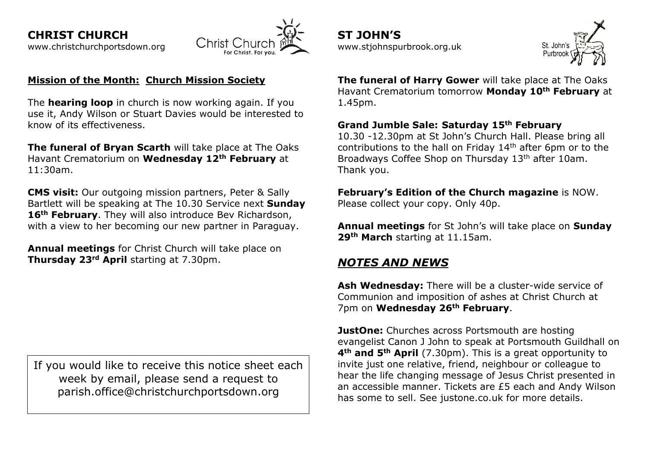

### **Mission of the Month:****Church Mission Society**

The **hearing loop** in church is now working again. If you use it, Andy Wilson or Stuart Davies would be interested to know of its effectiveness.

**The funeral of Bryan Scarth** will take place at The Oaks Havant Crematorium on **Wednesday 12th February** at 11:30am.

**CMS visit:** Our outgoing mission partners, Peter & Sally Bartlett will be speaking at The 10.30 Service next **Sunday 16th February**. They will also introduce Bev Richardson, with a view to her becoming our new partner in Paraguay.

**Annual meetings** for Christ Church will take place on **Thursday 23rd April** starting at 7.30pm.

If you would like to receive this notice sheet each week by email, please send a request to parish.office@christchurchportsdown.org

**ST JOHN'S** [www.stjohnspurbrook.org.uk](http://www.stjohnspurbrook.org.uk/)



**The funeral of Harry Gower** will take place at The Oaks Havant Crematorium tomorrow **Monday 10th February** at 1.45pm.

#### **Grand Jumble Sale: Saturday 15th February**

10.30 -12.30pm at St John's Church Hall. Please bring all contributions to the hall on Friday 14th after 6pm or to the Broadways Coffee Shop on Thursday 13<sup>th</sup> after 10am. Thank you.

**February's Edition of the Church magazine** is NOW. Please collect your copy. Only 40p.

**Annual meetings** for St John's will take place on **Sunday 29th March** starting at 11.15am.

# *NOTES AND NEWS*

**Ash Wednesday:** There will be a cluster-wide service of Communion and imposition of ashes at Christ Church at 7pm on **Wednesday 26th February**.

**JustOne:** Churches across Portsmouth are hosting evangelist Canon J John to speak at Portsmouth Guildhall on **4th and 5th April** (7.30pm). This is a great opportunity to invite just one relative, friend, neighbour or colleague to hear the life changing message of Jesus Christ presented in an accessible manner. Tickets are £5 each and Andy Wilson has some to sell. See justone.co.uk for more details.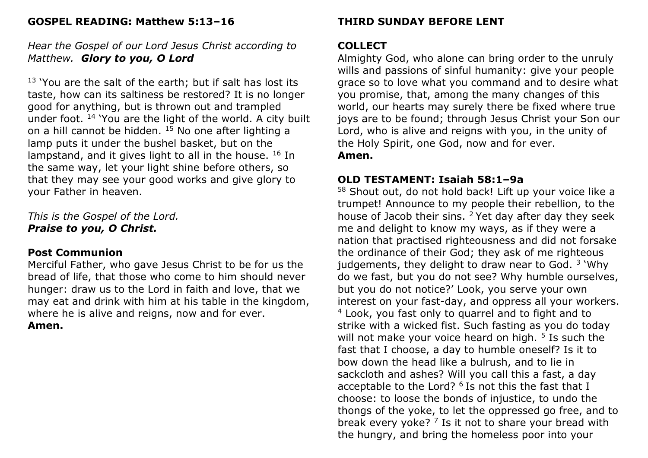### **GOSPEL READING: Matthew 5:13–16**

# *Hear the Gospel of our Lord Jesus Christ according to Matthew. Glory to you, O Lord*

 $13$  'You are the salt of the earth; but if salt has lost its taste, how can its saltiness be restored? It is no longer good for anything, but is thrown out and trampled under foot. <sup>14</sup> 'You are the light of the world. A city built on a hill cannot be hidden. <sup>15</sup> No one after lighting a lamp puts it under the bushel basket, but on the lampstand, and it gives light to all in the house.  $^{16}$  In the same way, let your light shine before others, so that they may see your good works and give glory to your Father in heaven.

*This is the Gospel of the Lord. Praise to you, O Christ.*

### **Post Communion**

Merciful Father, who gave Jesus Christ to be for us the bread of life, that those who come to him should never hunger: draw us to the Lord in faith and love, that we may eat and drink with him at his table in the kingdom, where he is alive and reigns, now and for ever. **Amen.**

# **THIRD SUNDAY BEFORE LENT**

## **COLLECT**

Almighty God, who alone can bring order to the unruly wills and passions of sinful humanity: give your people grace so to love what you command and to desire what you promise, that, among the many changes of this world, our hearts may surely there be fixed where true joys are to be found; through Jesus Christ your Son our Lord, who is alive and reigns with you, in the unity of the Holy Spirit, one God, now and for ever. **Amen.**

# **OLD TESTAMENT: Isaiah 58:1–9a**

<sup>58</sup> Shout out, do not hold back! Lift up your voice like a trumpet! Announce to my people their rebellion, to the house of Jacob their sins. <sup>2</sup> Yet day after day they seek me and delight to know my ways, as if they were a nation that practised righteousness and did not forsake the ordinance of their God; they ask of me righteous judgements, they delight to draw near to God. <sup>3</sup> 'Why do we fast, but you do not see? Why humble ourselves, but you do not notice?' Look, you serve your own interest on your fast-day, and oppress all your workers. <sup>4</sup> Look, you fast only to quarrel and to fight and to strike with a wicked fist. Such fasting as you do today will not make your voice heard on high. <sup>5</sup> Is such the fast that I choose, a day to humble oneself? Is it to bow down the head like a bulrush, and to lie in sackcloth and ashes? Will you call this a fast, a day acceptable to the Lord?  $6$  Is not this the fast that I choose: to loose the bonds of injustice, to undo the thongs of the yoke, to let the oppressed go free, and to break every yoke?  $7$  Is it not to share your bread with the hungry, and bring the homeless poor into your